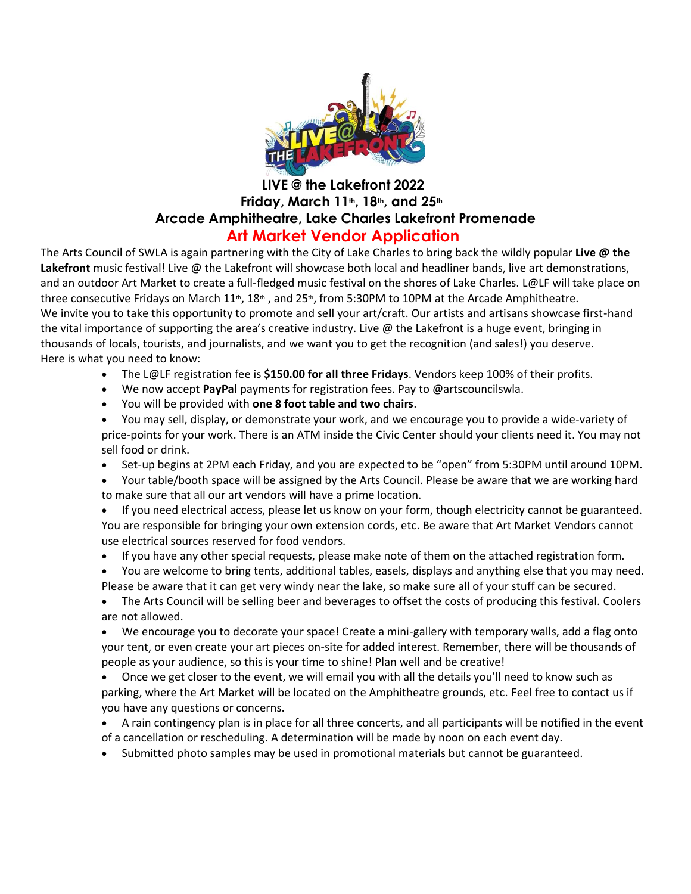

## **LIVE @ the Lakefront 2022 Friday, March 11th, 18th, and 25th Arcade Amphitheatre, Lake Charles Lakefront Promenade Art Market Vendor Application**

The Arts Council of SWLA is again partnering with the City of Lake Charles to bring back the wildly popular **Live @ the Lakefront** music festival! Live @ the Lakefront will showcase both local and headliner bands, live art demonstrations, and an outdoor Art Market to create a full-fledged music festival on the shores of Lake Charles. L@LF will take place on three consecutive Fridays on March 11<sup>th</sup>, 18<sup>th</sup> , and 25<sup>th</sup>, from 5:30PM to 10PM at the Arcade Amphitheatre. We invite you to take this opportunity to promote and sell your art/craft. Our artists and artisans showcase first-hand the vital importance of supporting the area's creative industry. Live @ the Lakefront is a huge event, bringing in thousands of locals, tourists, and journalists, and we want you to get the recognition (and sales!) you deserve. Here is what you need to know:

- The L@LF registration fee is **\$150.00 for all three Fridays**. Vendors keep 100% of their profits.
- We now accept **PayPal** payments for registration fees. Pay to @artscouncilswla.
- You will be provided with **one 8 foot table and two chairs**.
- You may sell, display, or demonstrate your work, and we encourage you to provide a wide-variety of price-points for your work. There is an ATM inside the Civic Center should your clients need it. You may not sell food or drink.
- Set-up begins at 2PM each Friday, and you are expected to be "open" from 5:30PM until around 10PM.
- Your table/booth space will be assigned by the Arts Council. Please be aware that we are working hard to make sure that all our art vendors will have a prime location.
- If you need electrical access, please let us know on your form, though electricity cannot be guaranteed. You are responsible for bringing your own extension cords, etc. Be aware that Art Market Vendors cannot use electrical sources reserved for food vendors.
- If you have any other special requests, please make note of them on the attached registration form.
- You are welcome to bring tents, additional tables, easels, displays and anything else that you may need. Please be aware that it can get very windy near the lake, so make sure all of your stuff can be secured.
- The Arts Council will be selling beer and beverages to offset the costs of producing this festival. Coolers are not allowed.
- We encourage you to decorate your space! Create a mini-gallery with temporary walls, add a flag onto your tent, or even create your art pieces on-site for added interest. Remember, there will be thousands of people as your audience, so this is your time to shine! Plan well and be creative!
- Once we get closer to the event, we will email you with all the details you'll need to know such as parking, where the Art Market will be located on the Amphitheatre grounds, etc. Feel free to contact us if you have any questions or concerns.
- A rain contingency plan is in place for all three concerts, and all participants will be notified in the event of a cancellation or rescheduling. A determination will be made by noon on each event day.
- Submitted photo samples may be used in promotional materials but cannot be guaranteed.